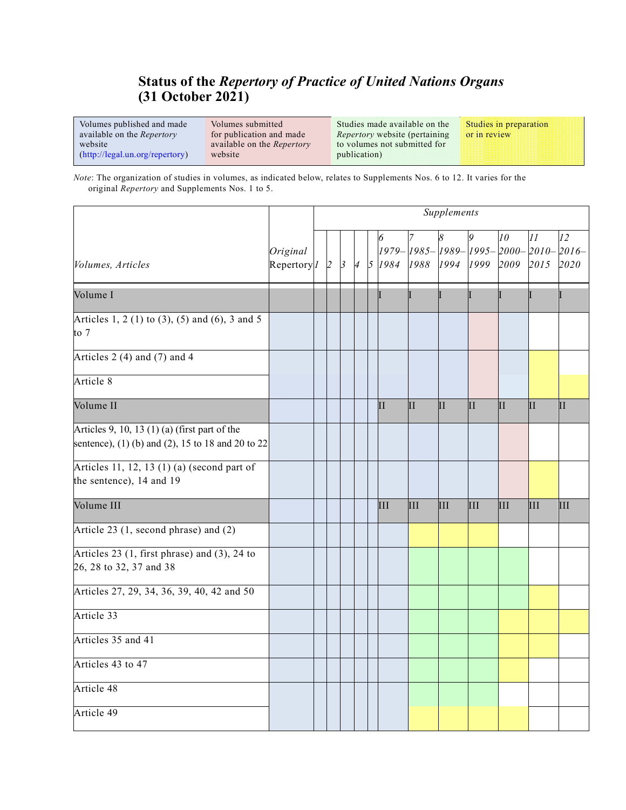## **Status of the** *Repertory of Practice of United Nations Organs* **(31 October 2021)**

Volumes published and made available on the *Repertory* website [\(http://legal.un.org/repertory\)](http://legal.un.org/repertory) Volumes submitted for publication and made available on the *Repertory* website publication)

Studies made available on the *Repertory* website (pertaining to volumes not submitted for

Studies in preparation or in review

*Note*: The organization of studies in volumes, as indicated below, relates to Supplements Nos. 6 to 12. It varies for the original *Repertory* and Supplements Nos. 1 to 5.

|                                                                                                      |                                      | Supplements |                |               |                |  |               |          |                          |      |                 |                                                                                                                            |            |
|------------------------------------------------------------------------------------------------------|--------------------------------------|-------------|----------------|---------------|----------------|--|---------------|----------|--------------------------|------|-----------------|----------------------------------------------------------------------------------------------------------------------------|------------|
| Volumes, Articles                                                                                    | Original<br>Repertory <sup>[1]</sup> |             | $\overline{2}$ | $\mathcal{B}$ | $\overline{A}$ |  | 5 1984        | 1988     | 1994                     | 1999 | 10<br>2009 2015 | 11<br>$\left[1979 - \left[1985 - \left[1989 - \left[1995 - \right]2000 - \left[2010 - \right]2016 - \right]\right]\right]$ | 12<br>2020 |
| Volume I                                                                                             |                                      |             |                |               |                |  |               |          |                          |      |                 |                                                                                                                            |            |
| Articles 1, 2 (1) to (3), (5) and (6), 3 and 5<br>to 7                                               |                                      |             |                |               |                |  |               |          |                          |      |                 |                                                                                                                            |            |
| Articles 2 (4) and (7) and 4                                                                         |                                      |             |                |               |                |  |               |          |                          |      |                 |                                                                                                                            |            |
| Article 8                                                                                            |                                      |             |                |               |                |  |               |          |                          |      |                 |                                                                                                                            |            |
| Volume II                                                                                            |                                      |             |                |               |                |  | $\mathbf{II}$ | $\rm II$ | $\overline{\mathbf{II}}$ | II   | II              | ĪΙ                                                                                                                         | П          |
| Articles 9, 10, 13 $(1)$ (a) (first part of the<br>sentence), (1) (b) and (2), 15 to 18 and 20 to 22 |                                      |             |                |               |                |  |               |          |                          |      |                 |                                                                                                                            |            |
| Articles 11, 12, 13 (1) (a) (second part of<br>the sentence), 14 and 19                              |                                      |             |                |               |                |  |               |          |                          |      |                 |                                                                                                                            |            |
| Volume III                                                                                           |                                      |             |                |               |                |  | III           | III      | III                      | Ш    | III             | IШ                                                                                                                         | Ш          |
| Article 23 (1, second phrase) and (2)                                                                |                                      |             |                |               |                |  |               |          |                          |      |                 |                                                                                                                            |            |
| Articles 23 (1, first phrase) and (3), 24 to<br>26, 28 to 32, 37 and 38                              |                                      |             |                |               |                |  |               |          |                          |      |                 |                                                                                                                            |            |
| Articles 27, 29, 34, 36, 39, 40, 42 and 50                                                           |                                      |             |                |               |                |  |               |          |                          |      |                 |                                                                                                                            |            |
| Article 33                                                                                           |                                      |             |                |               |                |  |               |          |                          |      |                 |                                                                                                                            |            |
| Articles 35 and 41                                                                                   |                                      |             |                |               |                |  |               |          |                          |      |                 |                                                                                                                            |            |
| Articles 43 to 47                                                                                    |                                      |             |                |               |                |  |               |          |                          |      |                 |                                                                                                                            |            |
| Article 48                                                                                           |                                      |             |                |               |                |  |               |          |                          |      |                 |                                                                                                                            |            |
| Article 49                                                                                           |                                      |             |                |               |                |  |               |          |                          |      |                 |                                                                                                                            |            |